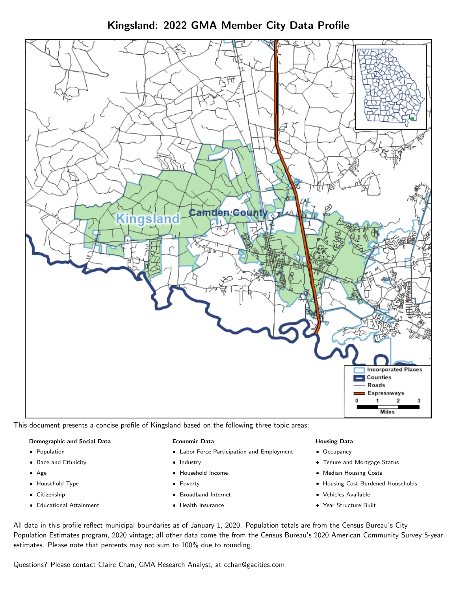Kingsland: 2022 GMA Member City Data Profile



This document presents a concise profile of Kingsland based on the following three topic areas:

#### Demographic and Social Data

- **•** Population
- Race and Ethnicity
- Age
- Household Type
- **Citizenship**
- Educational Attainment

#### Economic Data

- Labor Force Participation and Employment
- Industry
- Household Income
- Poverty
- Broadband Internet
- Health Insurance

#### Housing Data

- Occupancy
- Tenure and Mortgage Status
- Median Housing Costs
- Housing Cost-Burdened Households
- Vehicles Available
- Year Structure Built

All data in this profile reflect municipal boundaries as of January 1, 2020. Population totals are from the Census Bureau's City Population Estimates program, 2020 vintage; all other data come the from the Census Bureau's 2020 American Community Survey 5-year estimates. Please note that percents may not sum to 100% due to rounding.

Questions? Please contact Claire Chan, GMA Research Analyst, at [cchan@gacities.com.](mailto:cchan@gacities.com)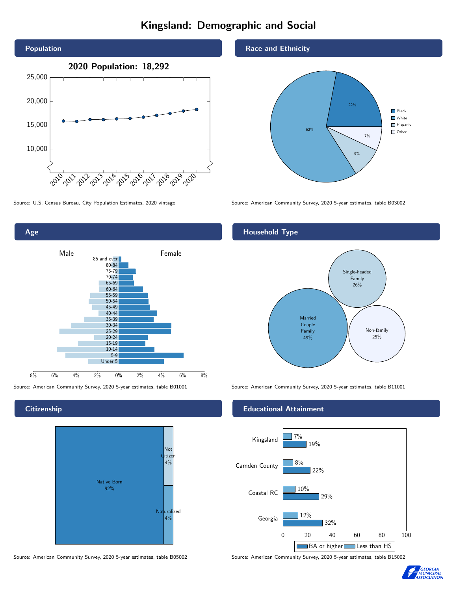# Kingsland: Demographic and Social





**Citizenship** 



Source: American Community Survey, 2020 5-year estimates, table B05002 Source: American Community Survey, 2020 5-year estimates, table B15002

### Race and Ethnicity



Source: U.S. Census Bureau, City Population Estimates, 2020 vintage Source: American Community Survey, 2020 5-year estimates, table B03002

## Household Type



Source: American Community Survey, 2020 5-year estimates, table B01001 Source: American Community Survey, 2020 5-year estimates, table B11001

### Educational Attainment



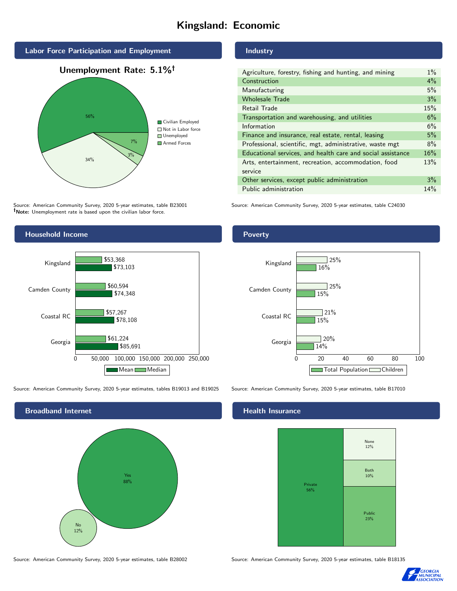# Kingsland: Economic



Source: American Community Survey, 2020 5-year estimates, table B23001 Note: Unemployment rate is based upon the civilian labor force.

# Household Income 0 50,000 100,000 150,000 200,000 250,000 Georgia Coastal RC Camden County Kingsland \$85,691 \$78,108 \$74,348 \$73,103 \$61,224 \$57,267 \$60,594 \$53,368 Mean Median

Source: American Community Survey, 2020 5-year estimates, tables B19013 and B19025 Source: American Community Survey, 2020 5-year estimates, table B17010



## Industry

| Agriculture, forestry, fishing and hunting, and mining      | $1\%$ |
|-------------------------------------------------------------|-------|
| Construction                                                | 4%    |
| Manufacturing                                               | 5%    |
| <b>Wholesale Trade</b>                                      | 3%    |
| Retail Trade                                                | 15%   |
| Transportation and warehousing, and utilities               | 6%    |
| Information                                                 | 6%    |
| Finance and insurance, real estate, rental, leasing         | 5%    |
| Professional, scientific, mgt, administrative, waste mgt    | 8%    |
| Educational services, and health care and social assistance | 16%   |
| Arts, entertainment, recreation, accommodation, food        | 13%   |
| service                                                     |       |
| Other services, except public administration                | 3%    |
| Public administration                                       | 14%   |

Source: American Community Survey, 2020 5-year estimates, table C24030

Poverty



#### Health Insurance



Source: American Community Survey, 2020 5-year estimates, table B28002 Source: American Community Survey, 2020 5-year estimates, table B18135